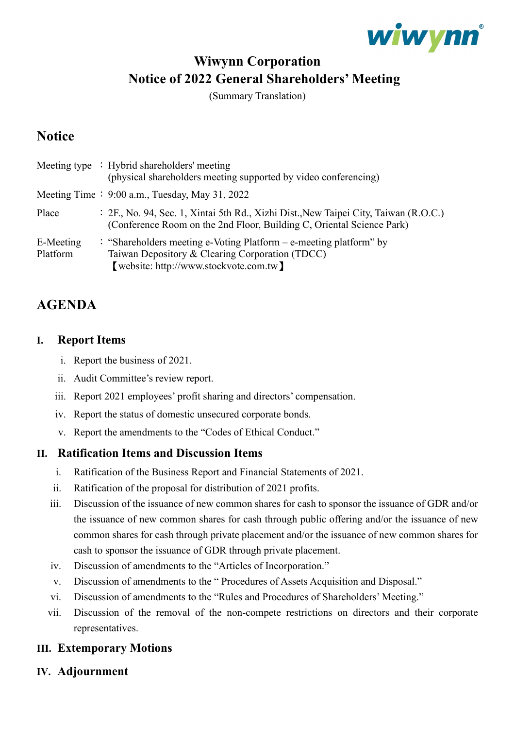

# **Wiwynn Corporation Notice of 2022 General Shareholders' Meeting**

(Summary Translation)

## **Notice**

|                       | Meeting type : Hybrid shareholders' meeting<br>(physical shareholders meeting supported by video conferencing)                                                    |
|-----------------------|-------------------------------------------------------------------------------------------------------------------------------------------------------------------|
|                       | Meeting Time: $9:00$ a.m., Tuesday, May 31, 2022                                                                                                                  |
| Place                 | : 2F., No. 94, Sec. 1, Xintai 5th Rd., Xizhi Dist., New Taipei City, Taiwan (R.O.C.)<br>(Conference Room on the 2nd Floor, Building C, Oriental Science Park)     |
| E-Meeting<br>Platform | : "Shareholders meeting e-Voting Platform $-$ e-meeting platform" by<br>Taiwan Depository & Clearing Corporation (TDCC)<br>[website: http://www.stockvote.com.tw] |

### **AGENDA**

#### **I. Report Items**

- i. Report the business of 2021.
- ii. Audit Committee's review report.
- iii. Report 2021 employees' profit sharing and directors' compensation.
- iv. Report the status of domestic unsecured corporate bonds.
- v. Report the amendments to the "Codes of Ethical Conduct."

#### **II. Ratification Items and Discussion Items**

- i. Ratification of the Business Report and Financial Statements of 2021.
- ii. Ratification of the proposal for distribution of 2021 profits.
- iii. Discussion of the issuance of new common shares for cash to sponsor the issuance of GDR and/or the issuance of new common shares for cash through public offering and/or the issuance of new common shares for cash through private placement and/or the issuance of new common shares for cash to sponsor the issuance of GDR through private placement.
- iv. Discussion of amendments to the "Articles of Incorporation."
- v. Discussion of amendments to the " [Procedures of Assets Acquisition and Disposal.](https://www.wiwynn.com/static/investors/corporate-governance/8_Procedures_of_Asset_Acquisition_and_Disposal_EN_190625.pdf)"
- vi. Discussion of amendments to the "Rules and Procedures of Shareholders' Meeting."
- vii. Discussion of the removal of the non-compete restrictions on directors and their corporate representatives.

#### **III. Extemporary Motions**

**IV. Adjournment**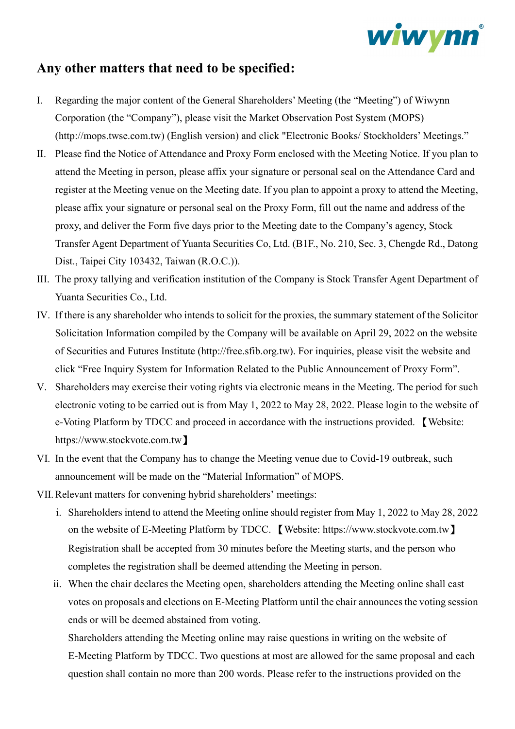

### **Any other matters that need to be specified:**

- I. Regarding the major content of the General Shareholders' Meeting (the "Meeting") of Wiwynn Corporation (the "Company"), please visit the Market Observation Post System (MOPS) (http://mops.twse.com.tw) (English version) and click "Electronic Books/ Stockholders' Meetings."
- II. Please find the Notice of Attendance and Proxy Form enclosed with the Meeting Notice. If you plan to attend the Meeting in person, please affix your signature or personal seal on the Attendance Card and register at the Meeting venue on the Meeting date. If you plan to appoint a proxy to attend the Meeting, please affix your signature or personal seal on the Proxy Form, fill out the name and address of the proxy, and deliver the Form five days prior to the Meeting date to the Company's agency, Stock Transfer Agent Department of Yuanta Securities Co, Ltd. (B1F., No. 210, Sec. 3, Chengde Rd., Datong Dist., Taipei City 103432, Taiwan (R.O.C.)).
- III. The proxy tallying and verification institution of the Company is Stock Transfer Agent Department of Yuanta Securities Co., Ltd.
- IV. If there is any shareholder who intends to solicit for the proxies, the summary statement of the Solicitor Solicitation Information compiled by the Company will be available on April 29, 2022 on the website of Securities and Futures Institute (http://free.sfib.org.tw). For inquiries, please visit the website and click "Free Inquiry System for Information Related to the Public Announcement of Proxy Form".
- V. Shareholders may exercise their voting rights via electronic means in the Meeting. The period for such electronic voting to be carried out is from May 1, 2022 to May 28, 2022. Please login to the website of e-Voting Platform by TDCC and proceed in accordance with the instructions provided. 【Website: [https://www.stockvote.com.tw](https://www.stockvote.com.tw%E3%80%91/)】
- VI. In the event that the Company has to change the Meeting venue due to Covid-19 outbreak, such announcement will be made on the "Material Information" of MOPS.
- VII.Relevant matters for convening hybrid shareholders' meetings:
	- i. Shareholders intend to attend the Meeting online should register from May 1, 2022 to May 28, 2022 on the website of E-Meeting Platform by TDCC. 【Website: [https://www.stockvote.com.tw](https://www.stockvote.com.tw%E3%80%91/)】 Registration shall be accepted from 30 minutes before the Meeting starts, and the person who completes the registration shall be deemed attending the Meeting in person.
	- ii. When the chair declares the Meeting open, shareholders attending the Meeting online shall cast votes on proposals and elections on E-Meeting Platform until the chair announces the voting session ends or will be deemed abstained from voting.

Shareholders attending the Meeting online may raise questions in writing on the website of E-Meeting Platform by TDCC. Two questions at most are allowed for the same proposal and each question shall contain no more than 200 words. Please refer to the instructions provided on the